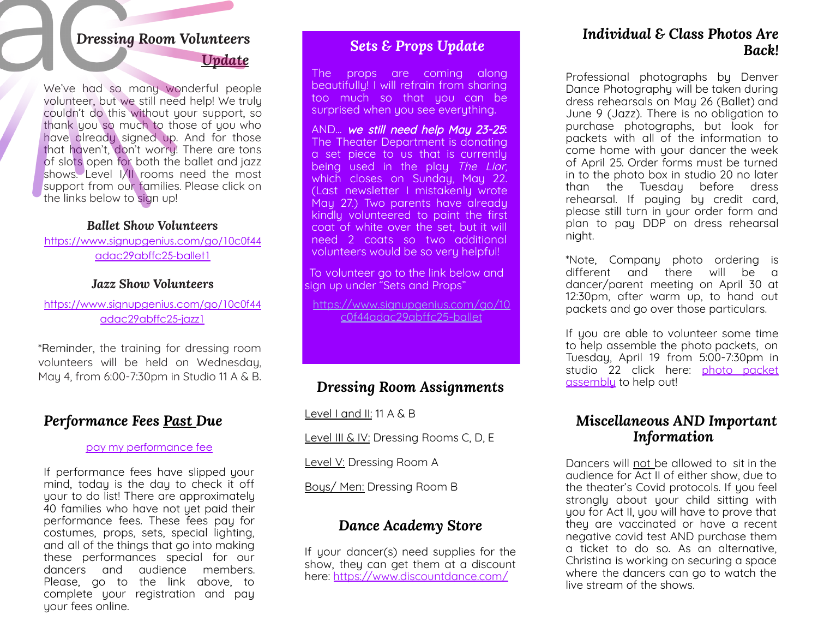# *Dressing Room Volunteers*

*Update*

We've had so many wonderful people volunteer, but we still need help! We truly couldn't do this without your support, so thank you so much to those of you who have already signed up. And for those that haven't, don't worry! There are tons of slots open for both the ballet and jazz shows. Level I/II rooms need the most support from our families. Please click on the links below to sign up!

#### *Ballet Show Volunteers*

[https://www.signupgenius.com/go/10c0f44](https://www.signupgenius.com/go/10c0f44adac29abffc25-ballet1) [adac29abffc25-ballet1](https://www.signupgenius.com/go/10c0f44adac29abffc25-ballet1)

#### *Jazz Show Volunteers*

[https://www.signupgenius.com/go/10c0f44](https://www.signupgenius.com/go/10c0f44adac29abffc25-jazz1) [adac29abffc25-jazz1](https://www.signupgenius.com/go/10c0f44adac29abffc25-jazz1)

\*Reminder, the training for dressing room volunteers will be held on Wednesday, May 4, from 6:00-7:30pm in Studio 11 A & B.

#### *Performance Fees Past Due*

#### pay my [performance](https://docs.google.com/forms/d/e/1FAIpQLSdVaojS7TyXghSIBL_lGlLD4Tzs3QQKVGKwLYbTerluErbRwA/viewform?_ga=2.46639911.1886926953.1649799350-1412819643.1643129206) fee

If performance fees have slipped your mind, today is the day to check it off your to do list! There are approximately 40 families who have not yet paid their performance fees. These fees pay for costumes, props, sets, special lighting, and all of the things that go into making these performances special for our dancers and audience members. Please, go to the link above, to complete your registration and pay your fees online.

## *Sets & Props Update*

The props are coming along beautifully! I will refrain from sharing too much so that you can be surprised when you see everything.

AND… we still need help May 23-25**:** The Theater Department is donating a set piece to us that is currently being used in the play The Liar, which closes on Sunday, May 22. (Last newsletter I mistakenly wrote May 27.) Two parents have already kindly volunteered to paint the first coat of white over the set, but it will need 2 coats so two additional volunteers would be so very helpful!

To volunteer go to the link below and sign up under "Sets and Props"

[https://www.signupgenius.com/go/10](https://www.signupgenius.com/go/10c0f44adac29abffc25-ballet) [c0f44adac29abffc25-ballet](https://www.signupgenius.com/go/10c0f44adac29abffc25-ballet)

### *Dressing Room Assignments*

Level I and II: 11 A & B

Level III & IV: Dressing Rooms C, D, E

Level V: Dressing Room A

Boys/ Men: Dressing Room B

### *Dance Academy Store*

If your dancer(s) need supplies for the show, they can get them at a discount here: [https://www.discountdance.com/](https://www.discountdance.com/search/teacherid:134657?_ga=2.213895444.1886926953.1649799350-1412819643.1643129206)

#### *Individual & Class Photos Are Back!*

Professional photographs by Denver Dance Photography will be taken during dress rehearsals on May 26 (Ballet) and June 9 (Jazz). There is no obligation to purchase photographs, but look for packets with all of the information to come home with your dancer the week of April 25. Order forms must be turned in to the photo box in studio 20 no later than the Tuesday before dress rehearsal. If paying by credit card, please still turn in your order form and plan to pay DDP on dress rehearsal night.

\*Note, Company photo ordering is different and there will be a dancer/parent meeting on April 30 at 12:30pm, after warm up, to hand out packets and go over those particulars.

If you are able to volunteer some time to help assemble the photo packets, on Tuesday, April 19 from 5:00-7:30pm in studio 22 click here: photo [packet](https://www.signupgenius.com/go/10c0f44adac29abffc25-ballet1) [assembly](https://www.signupgenius.com/go/10c0f44adac29abffc25-ballet1) to help out!

#### *Miscellaneous AND Important Information*

Dancers will not be allowed to sit in the audience for Act II of either show, due to the theater's Covid protocols. If you feel strongly about your child sitting with you for Act II, you will have to prove that they are vaccinated or have a recent negative covid test AND purchase them a ticket to do so. As an alternative, Christina is working on securing a space where the dancers can go to watch the live stream of the shows.